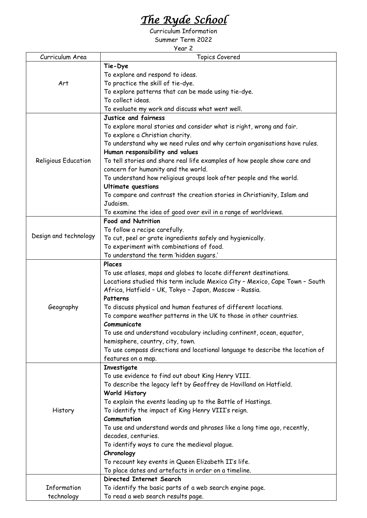## *The Ryde School*

Curriculum Information Summer Term 2022

Year 2

| Curriculum Area       | year z<br><b>Topics Covered</b>                                               |
|-----------------------|-------------------------------------------------------------------------------|
|                       | Tie-Dye                                                                       |
| Art                   |                                                                               |
|                       | To explore and respond to ideas.                                              |
|                       | To practice the skill of tie-dye.                                             |
|                       | To explore patterns that can be made using tie-dye.                           |
|                       | To collect ideas.                                                             |
|                       | To evaluate my work and discuss what went well.                               |
| Religious Education   | Justice and fairness                                                          |
|                       | To explore moral stories and consider what is right, wrong and fair.          |
|                       | To explore a Christian charity.                                               |
|                       | To understand why we need rules and why certain organisations have rules.     |
|                       | Human responsibility and values                                               |
|                       | To tell stories and share real life examples of how people show care and      |
|                       | concern for humanity and the world.                                           |
|                       | To understand how religious groups look after people and the world.           |
|                       | <b>Ultimate questions</b>                                                     |
|                       | To compare and contrast the creation stories in Christianity, Islam and       |
|                       | Judaism.                                                                      |
|                       | To examine the idea of good over evil in a range of worldviews.               |
| Design and technology | <b>Food and Nutrition</b>                                                     |
|                       | To follow a recipe carefully.                                                 |
|                       | To cut, peel or grate ingredients safely and hygienically.                    |
|                       | To experiment with combinations of food.                                      |
|                       | To understand the term 'hidden sugars.'                                       |
|                       | Places                                                                        |
|                       | To use atlases, maps and globes to locate different destinations.             |
|                       | Locations studied this term include Mexico City - Mexico, Cape Town - South   |
|                       | Africa, Hatfield - UK, Tokyo - Japan, Moscow - Russia.                        |
|                       | Patterns                                                                      |
| Geography             | To discuss physical and human features of different locations.                |
|                       | To compare weather patterns in the UK to those in other countries.            |
|                       | Communicate                                                                   |
|                       | To use and understand vocabulary including continent, ocean, equator,         |
|                       | hemisphere, country, city, town.                                              |
|                       | To use compass directions and locational language to describe the location of |
|                       | features on a map.                                                            |
| History               | Investigate                                                                   |
|                       | To use evidence to find out about King Henry VIII.                            |
|                       | To describe the legacy left by Geoffrey de Havilland on Hatfield.             |
|                       | <b>World History</b>                                                          |
|                       | To explain the events leading up to the Battle of Hastings.                   |
|                       | To identify the impact of King Henry VIII's reign.                            |
|                       | Commutation                                                                   |
|                       | To use and understand words and phrases like a long time ago, recently,       |
|                       | decades, centuries.                                                           |
|                       | To identify ways to cure the medieval plague.                                 |
|                       | Chronology                                                                    |
|                       | To recount key events in Queen Elizabeth II's life.                           |
|                       | To place dates and artefacts in order on a timeline.                          |
|                       | Directed Internet Search                                                      |
| Information           | To identify the basic parts of a web search engine page.                      |
| technology            | To read a web search results page.                                            |